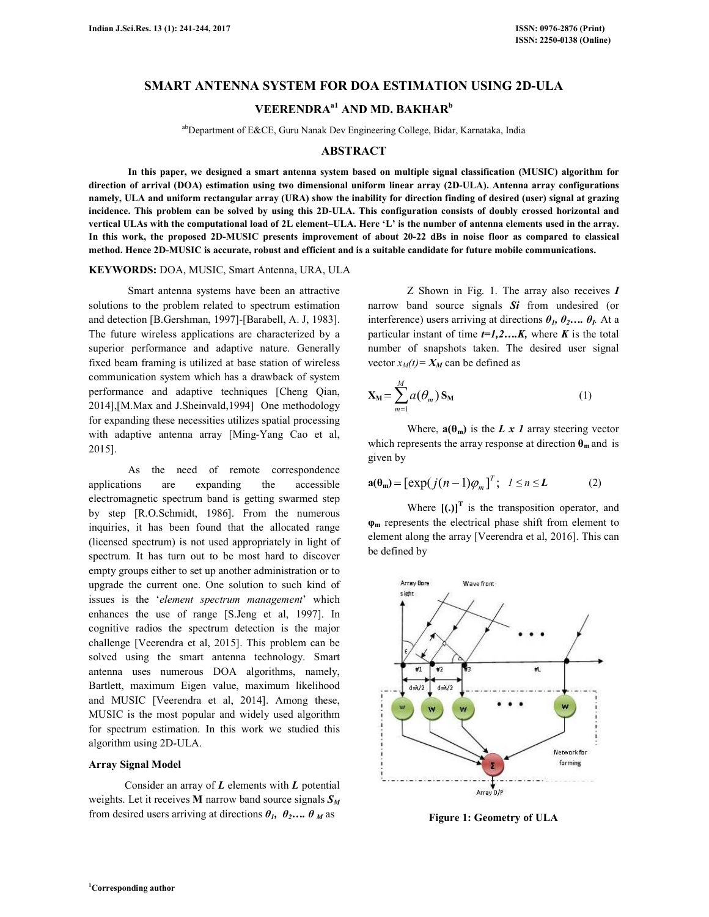## **SMART ANTENNA SYSTEM FOR DOA ESTIMATION USING 2D-ULA**

**VEERENDRAa1 AND MD. BAKHAR<sup>b</sup>**

abDepartment of E&CE, Guru Nanak Dev Engineering College, Bidar, Karnataka, India

## **ABSTRACT**

 **In this paper, we designed a smart antenna system based on multiple signal classification (MUSIC) algorithm for direction of arrival (DOA) estimation using two dimensional uniform linear array (2D-ULA). Antenna array configurations namely, ULA and uniform rectangular array (URA) show the inability for direction finding of desired (user) signal at grazing incidence. This problem can be solved by using this 2D-ULA. This configuration consists of doubly crossed horizontal and vertical ULAs with the computational load of 2L element–ULA. Here 'L' is the number of antenna elements used in the array. In this work, the proposed 2D-MUSIC presents improvement of about 20-22 dBs in noise floor as compared to classical method. Hence 2D-MUSIC is accurate, robust and efficient and is a suitable candidate for future mobile communications.** 

*M*

## **KEYWORDS:** DOA, MUSIC, Smart Antenna, URA, ULA

 Smart antenna systems have been an attractive solutions to the problem related to spectrum estimation and detection [B.Gershman, 1997]-[Barabell, A. J, 1983]. The future wireless applications are characterized by a superior performance and adaptive nature. Generally fixed beam framing is utilized at base station of wireless communication system which has a drawback of system performance and adaptive techniques [Cheng Qian, 2014],[M.Max and J.Sheinvald,1994] One methodology for expanding these necessities utilizes spatial processing with adaptive antenna array [Ming-Yang Cao et al, 2015].

 As the need of remote correspondence applications are expanding the accessible electromagnetic spectrum band is getting swarmed step by step [R.O.Schmidt, 1986]. From the numerous inquiries, it has been found that the allocated range (licensed spectrum) is not used appropriately in light of spectrum. It has turn out to be most hard to discover empty groups either to set up another administration or to upgrade the current one. One solution to such kind of issues is the '*element spectrum management*' which enhances the use of range [S.Jeng et al, 1997]. In cognitive radios the spectrum detection is the major challenge [Veerendra et al, 2015]. This problem can be solved using the smart antenna technology. Smart antenna uses numerous DOA algorithms, namely, Bartlett, maximum Eigen value, maximum likelihood and MUSIC [Veerendra et al, 2014]. Among these, MUSIC is the most popular and widely used algorithm for spectrum estimation. In this work we studied this algorithm using 2D-ULA.

## **Array Signal Model**

Consider an array of *L* elements with *L* potential weights. Let it receives **M** narrow band source signals *S<sup>M</sup>* from desired users arriving at directions  $\theta_1$ ,  $\theta_2$ ....  $\theta_M$  as

 Z Shown in Fig. 1. The array also receives *I* narrow band source signals *Si* from undesired (or interference) users arriving at directions  $\theta_1$ ,  $\theta_2$ ....  $\theta_1$ . At a particular instant of time  $t=1,2,...K$ , where K is the total number of snapshots taken. The desired user signal vector  $x_M(t) = X_M$  can be defined as

$$
\mathbf{X}_{\mathbf{M}} = \sum_{m=1}^{M} a(\theta_m) \mathbf{S}_{\mathbf{M}}
$$
 (1)

Where,  $\mathbf{a}(\theta_{\rm m})$  is the *L x 1* array steering vector which represents the array response at direction **θ<sup>m</sup>** and is given by

$$
\mathbf{a}(\mathbf{\theta}_{\mathbf{m}}) = [\exp(j(n-1)\varphi_{m}]^{T}; \quad l \le n \le L \tag{2}
$$

Where  $[(.)]^T$  is the transposition operator, and **φm** represents the electrical phase shift from element to element along the array [Veerendra et al, 2016]. This can be defined by



**Figure 1: Geometry of ULA**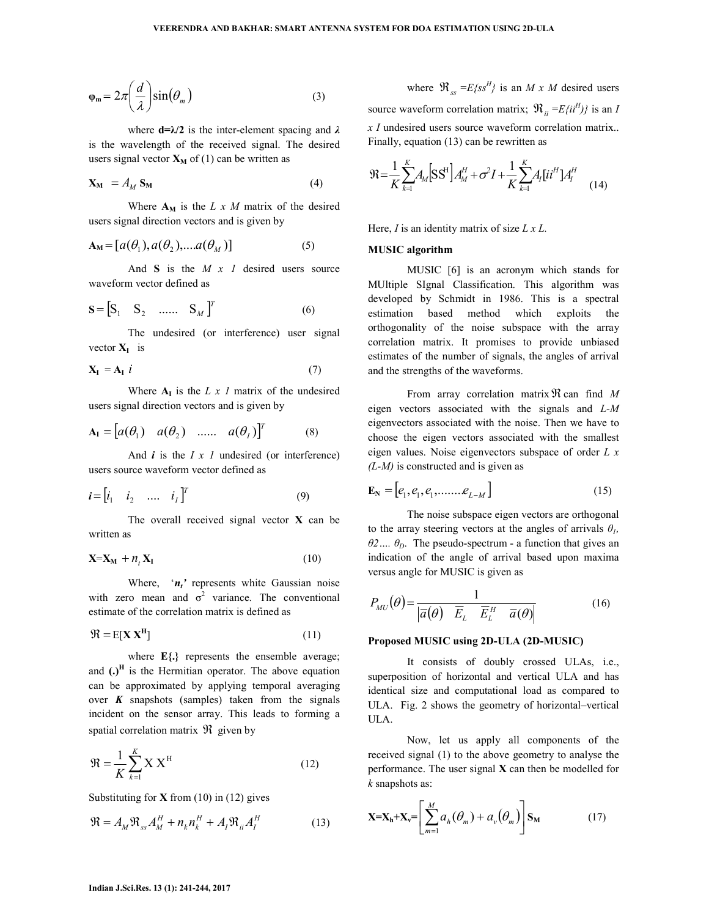$$
\varphi_m = 2\pi \left(\frac{d}{\lambda}\right) \sin(\theta_m) \tag{3}
$$

 where **d=λ/2** is the inter-element spacing and *λ* is the wavelength of the received signal. The desired users signal vector  $X_M$  of (1) can be written as

$$
\mathbf{X}_{\mathbf{M}} = A_M \, \mathbf{S}_{\mathbf{M}} \tag{4}
$$

Where  $A_M$  is the *L x M* matrix of the desired users signal direction vectors and is given by

$$
\mathbf{A}_{\mathbf{M}} = [a(\theta_1), a(\theta_2), \dots, a(\theta_M)] \tag{5}
$$

 And **S** is the *M x 1* desired users source waveform vector defined as

$$
\mathbf{S} = \begin{bmatrix} \mathbf{S}_1 & \mathbf{S}_2 & \dots & \mathbf{S}_M \end{bmatrix}^T \tag{6}
$$

 The undesired (or interference) user signal vector  $X_I$  is

$$
\mathbf{X}_{\mathbf{I}} = \mathbf{A}_{\mathbf{I}} \quad i \tag{7}
$$

Where  $A_I$  is the *L x 1* matrix of the undesired users signal direction vectors and is given by

$$
\mathbf{A}_{\mathbf{I}} = \begin{bmatrix} a(\theta_1) & a(\theta_2) & \dots & a(\theta_l) \end{bmatrix}^T \tag{8}
$$

 And *i* is the *I x 1* undesired (or interference) users source waveform vector defined as

$$
\boldsymbol{i} = \begin{bmatrix} i_1 & i_2 & \dots & i_I \end{bmatrix}^T \tag{9}
$$

 The overall received signal vector **X** can be written as

$$
\mathbf{X} = \mathbf{X_M} + n_t \mathbf{X_I} \tag{10}
$$

 Where, '*nt'* represents white Gaussian noise with zero mean and  $\sigma^2$  variance. The conventional estimate of the correlation matrix is defined as

$$
\mathfrak{R} = \mathbb{E}[\mathbf{X} \mathbf{X}^{\mathbf{H}}] \tag{11}
$$

 where **E{.}** represents the ensemble average; and  $(A)$ <sup>H</sup> is the Hermitian operator. The above equation can be approximated by applying temporal averaging over  $K$  snapshots (samples) taken from the signals incident on the sensor array. This leads to forming a spatial correlation matrix  $\Re$  given by

$$
\mathfrak{R} = \frac{1}{K} \sum_{k=1}^{K} X X^{H}
$$
 (12)

Substituting for **X** from (10) in (12) gives

$$
\mathfrak{R} = A_M \mathfrak{R}_{ss} A_M^H + n_k n_k^H + A_I \mathfrak{R}_{ii} A_I^H \tag{13}
$$

where  $\mathfrak{R}_{ss} = E \{ss^H\}$  is an *M x M* desired users source waveform correlation matrix;  $\mathfrak{R}_{ii} = E\{ii^H\}$  is an *I x I* undesired users source waveform correlation matrix.. Finally, equation (13) can be rewritten as

$$
\mathfrak{R} = \frac{1}{K} \sum_{k=1}^{K} A_M \Big[ S S^{\mathrm{H}} \Big] A_M^H + \sigma^2 I + \frac{1}{K} \sum_{k=1}^{K} A_I [i i^H] A_I^H \tag{14}
$$

Here, *I* is an identity matrix of size *L x L.* 

#### **MUSIC algorithm**

 MUSIC [6] is an acronym which stands for MUltiple SIgnal Classification. This algorithm was developed by Schmidt in 1986. This is a spectral estimation based method which exploits the orthogonality of the noise subspace with the array correlation matrix. It promises to provide unbiased estimates of the number of signals, the angles of arrival and the strengths of the waveforms.

From array correlation matrix  $\Re$  can find *M* eigen vectors associated with the signals and *L-M* eigenvectors associated with the noise. Then we have to choose the eigen vectors associated with the smallest eigen values. Noise eigenvectors subspace of order *L x (L-M)* is constructed and is given as

$$
\mathbf{E}_{N} = [e_{1}, e_{1}, e_{1}, \dots, e_{L-M}] \tag{15}
$$

 The noise subspace eigen vectors are orthogonal to the array steering vectors at the angles of arrivals  $\theta_l$ ,  $\theta$ 2...  $\theta$ <sup>*D*</sup>. The pseudo-spectrum - a function that gives an indication of the angle of arrival based upon maxima versus angle for MUSIC is given as

$$
P_{MU}(\theta) = \frac{1}{|\overline{a}(\theta) - \overline{E}_L - \overline{E}_L^H - \overline{a}(\theta)|}
$$
(16)

#### **Proposed MUSIC using 2D-ULA (2D-MUSIC)**

 It consists of doubly crossed ULAs, i.e., superposition of horizontal and vertical ULA and has identical size and computational load as compared to ULA. Fig. 2 shows the geometry of horizontal–vertical ULA.

 Now, let us apply all components of the received signal (1) to the above geometry to analyse the performance. The user signal **X** can then be modelled for *k* snapshots as:

$$
\mathbf{X} = \mathbf{X}_{h} + \mathbf{X}_{v} = \left[ \sum_{m=1}^{M} a_{h}(\theta_{m}) + a_{v}(\theta_{m}) \right] \mathbf{S}_{M}
$$
 (17)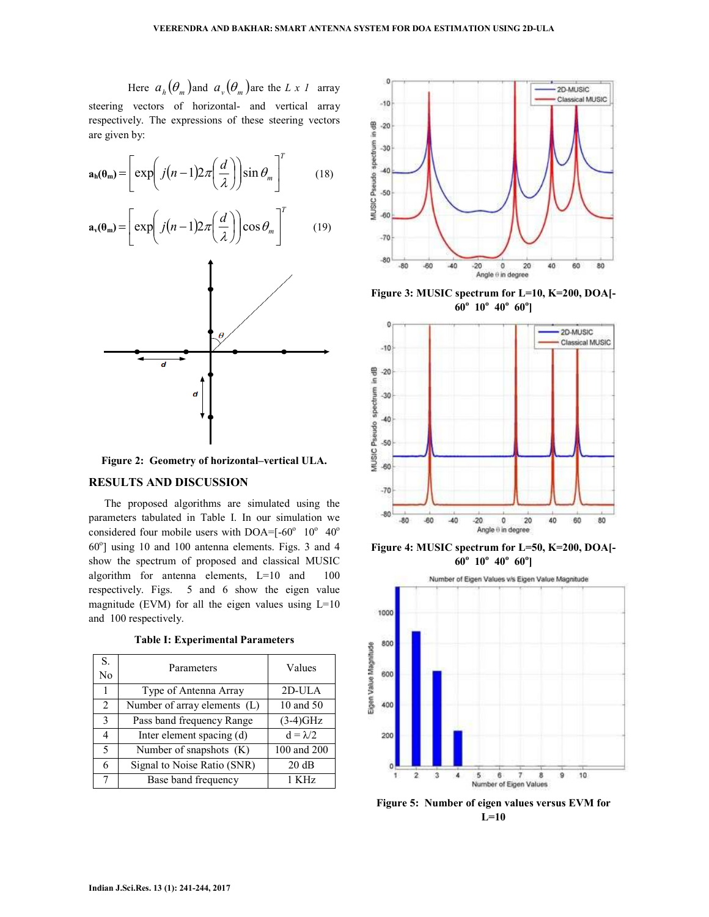Here  $a_h(\theta_m)$  and  $a_v(\theta_m)$  are the *L x 1* array steering vectors of horizontal- and vertical array respectively. The expressions of these steering vectors are given by:

$$
\mathbf{a_h}(\theta_m) = \left[ \exp\left(j(n-1)2\pi \left(\frac{d}{\lambda}\right) \right) \sin \theta_m \right]^T \tag{18}
$$

$$
\mathbf{a}_{\mathbf{v}}(\mathbf{\theta}_{\mathbf{m}}) = \left[ \exp\left(j(n-1)2\pi\left(\frac{d}{\lambda}\right)\right) \cos\theta_m \right]^T \tag{19}
$$





## **RESULTS AND DISCUSSION**

The proposed algorithms are simulated using the parameters tabulated in Table I. In our simulation we considered four mobile users with  $DOA = [-60^{\circ} 10^{\circ} 40^{\circ}]$ 60°] using 10 and 100 antenna elements. Figs. 3 and 4 show the spectrum of proposed and classical MUSIC algorithm for antenna elements, L=10 and 100 respectively. Figs. 5 and 6 show the eigen value magnitude (EVM) for all the eigen values using  $L=10$ and 100 respectively.

|  |  |  | <b>Table I: Experimental Parameters</b> |
|--|--|--|-----------------------------------------|
|--|--|--|-----------------------------------------|

| S.<br>No | Parameters                   | Values          |
|----------|------------------------------|-----------------|
| 1        | Type of Antenna Array        | 2D-ULA          |
| 2        | Number of array elements (L) | 10 and 50       |
| 3        | Pass band frequency Range    | $(3-4)$ GHz     |
| 4        | Inter element spacing (d)    | $d = \lambda/2$ |
| 5        | Number of snapshots $(K)$    | 100 and 200     |
| 6        | Signal to Noise Ratio (SNR)  | 20 dB           |
|          | Base band frequency          | KH <sub>z</sub> |



**Figure 3: MUSIC spectrum for L=10, K=200, DOA[- 60<sup>o</sup> 10<sup>o</sup> 40<sup>o</sup> 60<sup>o</sup> ]** 



**Figure 4: MUSIC spectrum for L=50, K=200, DOA[- 60<sup>o</sup> 10<sup>o</sup> 40<sup>o</sup> 60<sup>o</sup> ]** 



**Figure 5: Number of eigen values versus EVM for L=10**